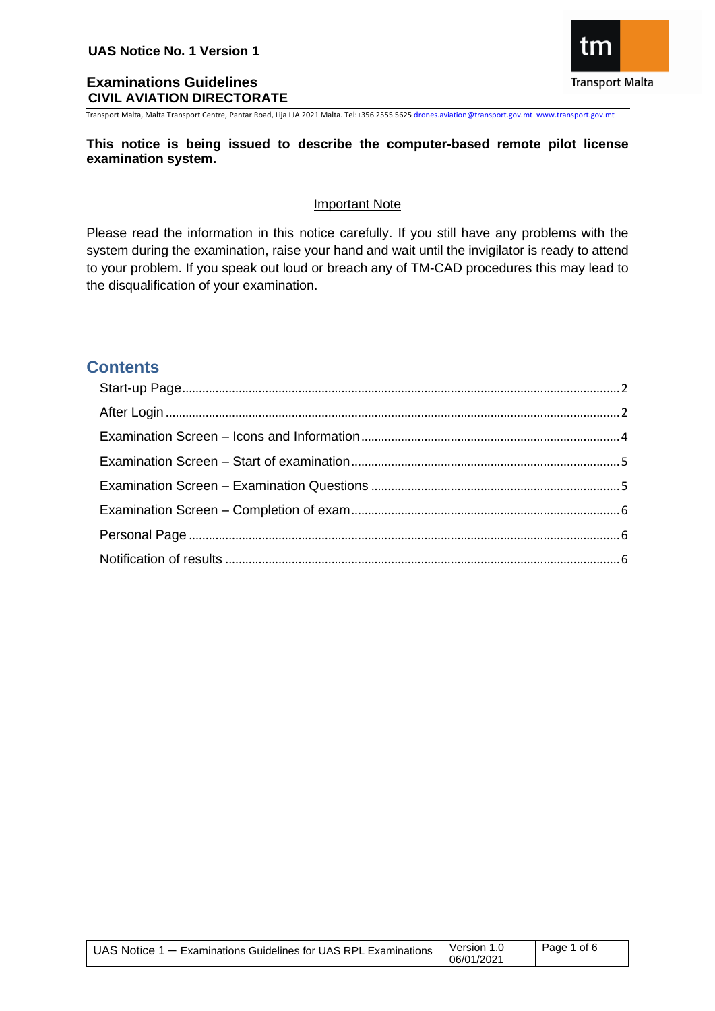

Transport Malta, Malta Transport Centre, Pantar Road, Lija LJA 2021 Malta. Tel:+356 2555 5625 drones.aviation@transport.gov.mt www.transport.gov.mt

### **This notice is being issued to describe the computer-based remote pilot license examination system.**

### Important Note

Please read the information in this notice carefully. If you still have any problems with the system during the examination, raise your hand and wait until the invigilator is ready to attend to your problem. If you speak out loud or breach any of TM-CAD procedures this may lead to the disqualification of your examination.

# **Contents**

| UAS Notice $1 -$ Examinations Guidelines for UAS RPL Examinations | Version 1.0<br>06/01/2021 | Page 1 of 6 |
|-------------------------------------------------------------------|---------------------------|-------------|
|                                                                   |                           |             |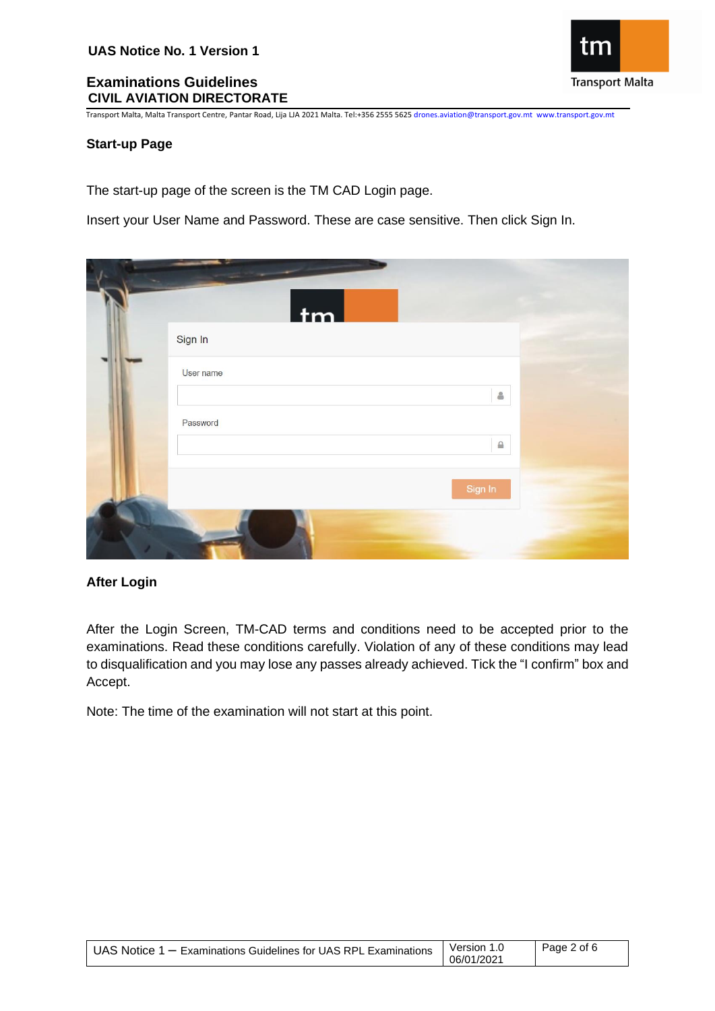**Transport Malta** 

Transport Malta, Malta Transport Centre, Pantar Road, Lija LJA 2021 Malta. Tel:+356 2555 5625 drones.aviation@transport.gov.mt www.transport.gov.mt

#### <span id="page-1-0"></span>**Start-up Page**

The start-up page of the screen is the TM CAD Login page.

Insert your User Name and Password. These are case sensitive. Then click Sign In.

| tm        |              |  |
|-----------|--------------|--|
| Sign In   |              |  |
| User name | $\triangleq$ |  |
| Password  | $\triangleq$ |  |
|           | Sign In      |  |
|           |              |  |

### <span id="page-1-1"></span>**After Login**

After the Login Screen, TM-CAD terms and conditions need to be accepted prior to the examinations. Read these conditions carefully. Violation of any of these conditions may lead to disqualification and you may lose any passes already achieved. Tick the "I confirm" box and Accept.

Note: The time of the examination will not start at this point.

| UAS Notice 1 - Examinations Guidelines for UAS RPL Examinations | Version 1.0<br>06/01/2021 | Page 2 of 6 |
|-----------------------------------------------------------------|---------------------------|-------------|
|-----------------------------------------------------------------|---------------------------|-------------|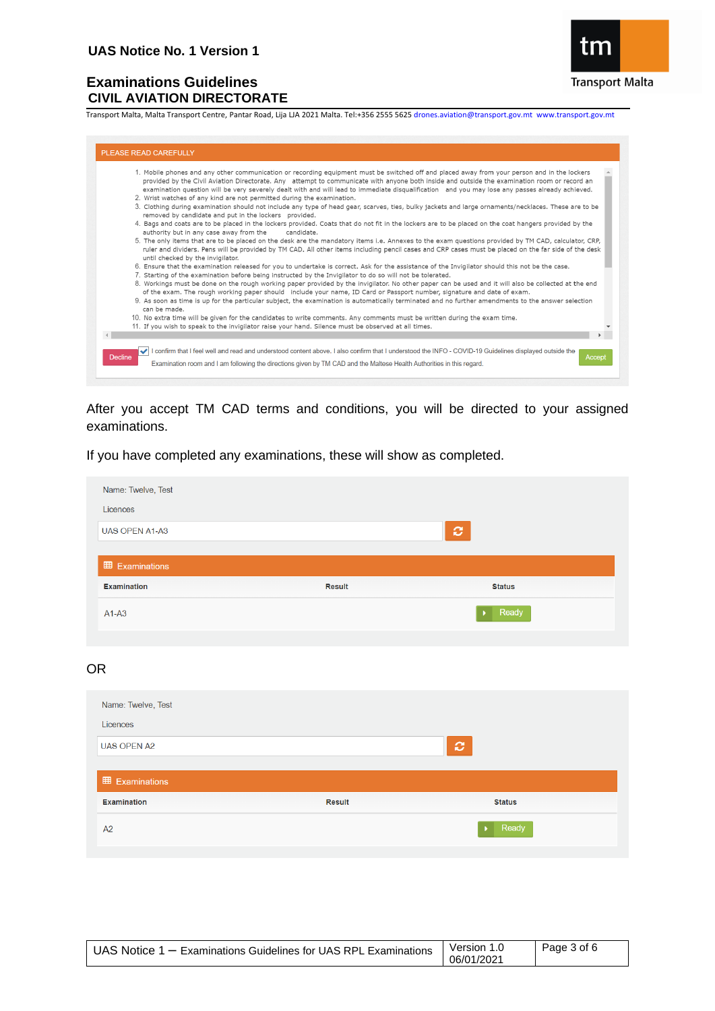

Transport Malta, Malta Transport Centre, Pantar Road, Lija LJA 2021 Malta. Tel:+356 2555 5625 drones.aviation@transport.gov.mt www.transport.gov.mt

| 1. Mobile phones and any other communication or recording equipment must be switched off and placed away from your person and in the lockers<br>provided by the Civil Aviation Directorate. Any attempt to communicate with anyone both inside and outside the examination room or record an<br>examination question will be very severely dealt with and will lead to immediate disqualification and you may lose any passes already achieved. |
|-------------------------------------------------------------------------------------------------------------------------------------------------------------------------------------------------------------------------------------------------------------------------------------------------------------------------------------------------------------------------------------------------------------------------------------------------|
| 2. Wrist watches of any kind are not permitted during the examination.                                                                                                                                                                                                                                                                                                                                                                          |
| 3. Clothing during examination should not include any type of head gear, scarves, ties, bulky jackets and large ornaments/necklaces. These are to be<br>removed by candidate and put in the lockers provided.                                                                                                                                                                                                                                   |
| 4. Bags and coats are to be placed in the lockers provided. Coats that do not fit in the lockers are to be placed on the coat hangers provided by the<br>authority but in any case away from the<br>candidate.                                                                                                                                                                                                                                  |
| 5. The only items that are to be placed on the desk are the mandatory items i.e. Annexes to the exam questions provided by TM CAD, calculator, CRP,<br>ruler and dividers. Pens will be provided by TM CAD. All other items including pencil cases and CRP cases must be placed on the far side of the desk<br>until checked by the invigilator.                                                                                                |
| 6. Ensure that the examination released for you to undertake is correct. Ask for the assistance of the Invigilator should this not be the case.<br>7. Starting of the examination before being instructed by the Invigilator to do so will not be tolerated.                                                                                                                                                                                    |
| 8. Workings must be done on the rough working paper provided by the invigilator. No other paper can be used and it will also be collected at the end<br>of the exam. The rough working paper should include your name, ID Card or Passport number, signature and date of exam.                                                                                                                                                                  |
| 9. As soon as time is up for the particular subject, the examination is automatically terminated and no further amendments to the answer selection<br>can be made.                                                                                                                                                                                                                                                                              |
| 10. No extra time will be given for the candidates to write comments. Any comments must be written during the exam time.                                                                                                                                                                                                                                                                                                                        |
| 11. If you wish to speak to the invigilator raise your hand. Silence must be observed at all times.                                                                                                                                                                                                                                                                                                                                             |
|                                                                                                                                                                                                                                                                                                                                                                                                                                                 |
| I confirm that I feel well and read and understood content above. I also confirm that I understood the INFO - COVID-19 Guidelines displayed outside the                                                                                                                                                                                                                                                                                         |

After you accept TM CAD terms and conditions, you will be directed to your assigned examinations.

If you have completed any examinations, these will show as completed.

| Name: Twelve, Test     |               |               |
|------------------------|---------------|---------------|
| Licences               |               |               |
| <b>UAS OPEN A1-A3</b>  |               | $\mathbf{C}$  |
|                        |               |               |
| <b>ED</b> Examinations |               |               |
| <b>Examination</b>     | <b>Result</b> | <b>Status</b> |
| $A1-A3$                |               | Ready         |
|                        |               |               |

## OR

| Name: Twelve, Test    |               |                  |
|-----------------------|---------------|------------------|
| Licences              |               |                  |
| <b>UAS OPEN A2</b>    |               | $\boldsymbol{c}$ |
|                       |               |                  |
| <b>田 Examinations</b> |               |                  |
| <b>Examination</b>    | <b>Result</b> | <b>Status</b>    |
| A2                    |               | Ready            |

| UAS Notice 1 - Examinations Guidelines for UAS RPL Examinations | Version 1.0 | Page 3 of 6 |
|-----------------------------------------------------------------|-------------|-------------|
|                                                                 | 06/01/2021  |             |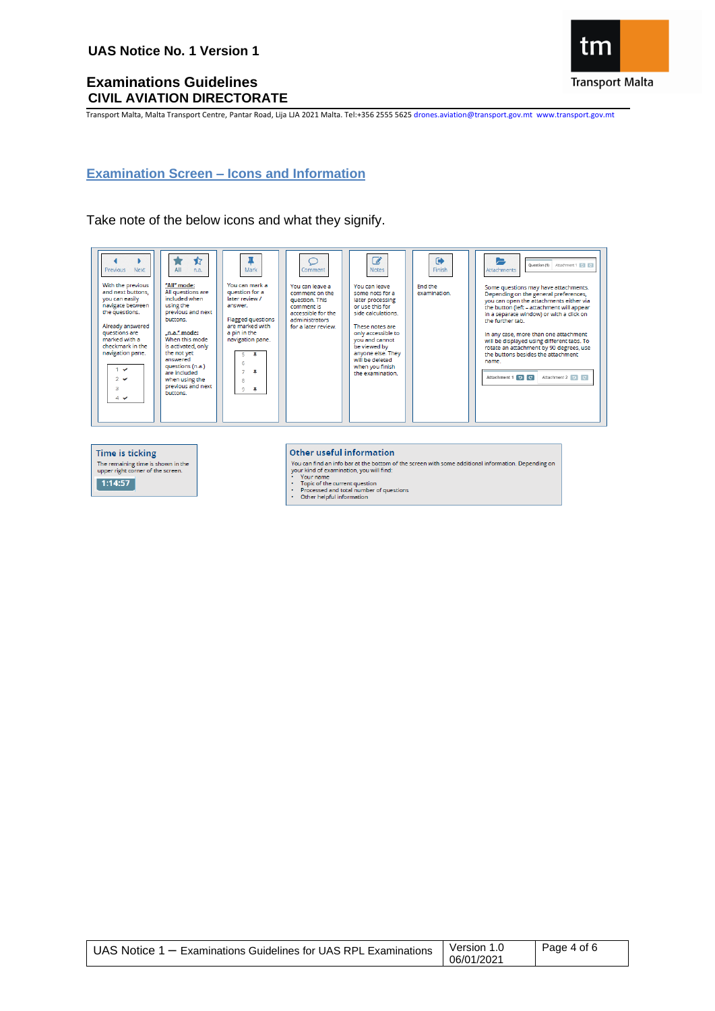The remaining time is shown in the<br>upper right corner of the screen.

 $\boxed{1:14:57}$ 

## **Examinations Guidelines CIVIL AVIATION DIRECTORATE**

τn **Transport Malta** 

Transport Malta, Malta Transport Centre, Pantar Road, Lija LJA 2021 Malta. Tel:+356 2555 5625 drones.aviation@transport.gov.mt www.transport.gov.mt

# <span id="page-3-0"></span>**Examination Screen – Icons and Information**

### Take note of the below icons and what they signify.





- 
- our name<br>• Your name<br>• Topic of the current question<br>• Processed and total number of questions<br>• Other helpful information
- 
- 

| UAS Notice $1 -$ Examinations Guidelines for UAS RPL Examinations | Version 1.0<br>06/01/2021 | Page 4 of 6 |
|-------------------------------------------------------------------|---------------------------|-------------|
|-------------------------------------------------------------------|---------------------------|-------------|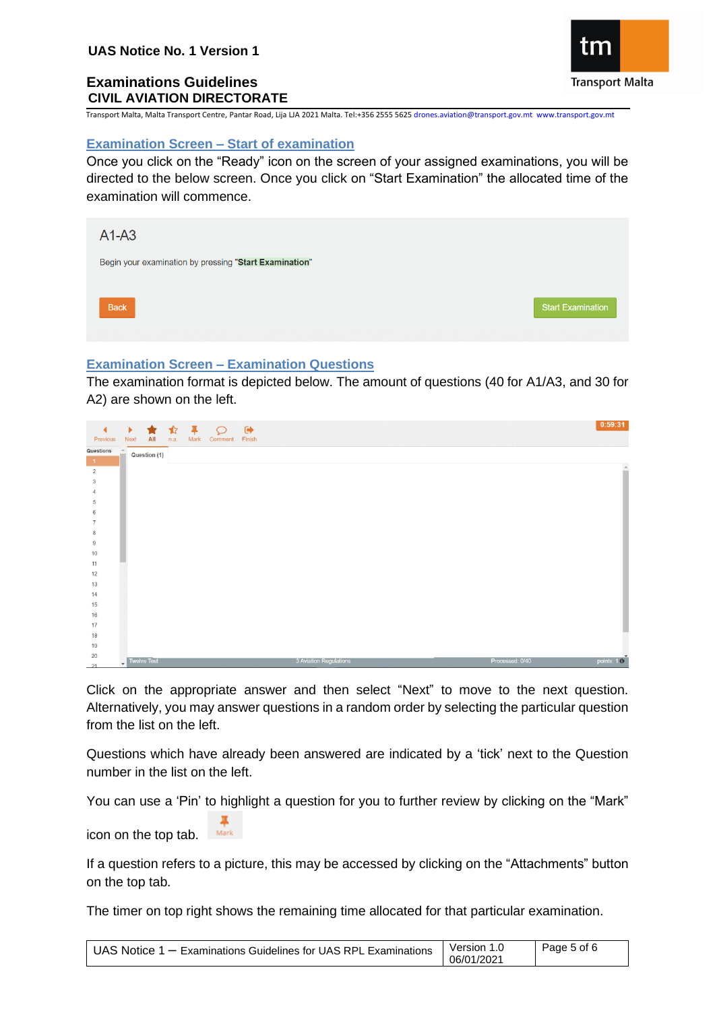

Transport Malta, Malta Transport Centre, Pantar Road, Lija LJA 2021 Malta. Tel:+356 2555 5625 drones.aviation@transport.gov.mt www.transport.gov.mt

### <span id="page-4-0"></span>**Examination Screen – Start of examination**

Once you click on the "Ready" icon on the screen of your assigned examinations, you will be directed to the below screen. Once you click on "Start Examination" the allocated time of the examination will commence.



### <span id="page-4-1"></span>**Examination Screen – Examination Questions**

The examination format is depicted below. The amount of questions (40 for A1/A3, and 30 for A2) are shown on the left.

| ٠<br>Previous             | $\mathbf{F}$ .<br>All<br><b>Next</b> | ★☆平○●<br>n.a.<br>Mark | Comment Finish |                        |  |                 | 0:59:31        |
|---------------------------|--------------------------------------|-----------------------|----------------|------------------------|--|-----------------|----------------|
| Questions<br>$\mathbf{1}$ | $\Delta$<br>Question (1)             |                       |                |                        |  |                 |                |
| $\overline{2}$            |                                      |                       |                |                        |  |                 | $\overline{a}$ |
| $_{3}$                    |                                      |                       |                |                        |  |                 |                |
| 4                         |                                      |                       |                |                        |  |                 |                |
| 5                         |                                      |                       |                |                        |  |                 |                |
| 6                         |                                      |                       |                |                        |  |                 |                |
| $\overline{7}$            |                                      |                       |                |                        |  |                 |                |
| 8                         |                                      |                       |                |                        |  |                 |                |
| $\boldsymbol{9}$          |                                      |                       |                |                        |  |                 |                |
| 10                        |                                      |                       |                |                        |  |                 |                |
| 11                        |                                      |                       |                |                        |  |                 |                |
| 12<br>$13$                |                                      |                       |                |                        |  |                 |                |
| 14                        |                                      |                       |                |                        |  |                 |                |
| 15                        |                                      |                       |                |                        |  |                 |                |
| $16$                      |                                      |                       |                |                        |  |                 |                |
| 17                        |                                      |                       |                |                        |  |                 |                |
| 18                        |                                      |                       |                |                        |  |                 |                |
| 19                        |                                      |                       |                |                        |  |                 |                |
| $20\,$<br>21              | <b>Twelve Test</b><br>٠              |                       |                | 3 Aviation Regulations |  | Processed: 0/40 | points: $10$   |

Click on the appropriate answer and then select "Next" to move to the next question. Alternatively, you may answer questions in a random order by selecting the particular question from the list on the left.

Questions which have already been answered are indicated by a 'tick' next to the Question number in the list on the left.

You can use a 'Pin' to highlight a question for you to further review by clicking on the "Mark"

icon on the top tab. Mark

If a question refers to a picture, this may be accessed by clicking on the "Attachments" button on the top tab.

The timer on top right shows the remaining time allocated for that particular examination.

| UAS Notice 1 – Examinations Guidelines for UAS RPL Examinations | Version 1.0 | Page 5 of 6 |
|-----------------------------------------------------------------|-------------|-------------|
|                                                                 | 06/01/2021  |             |